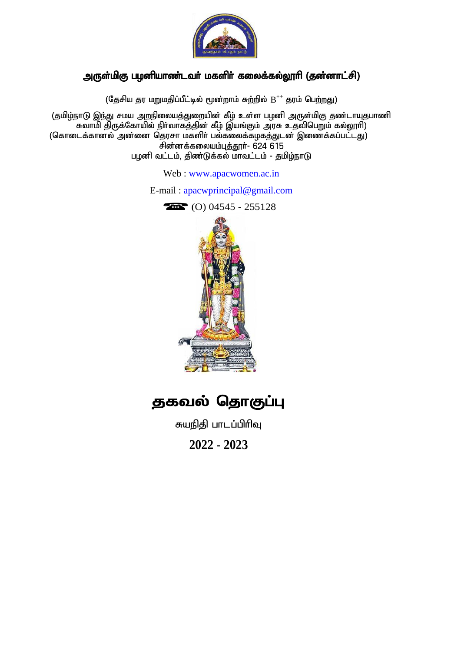

### அருள்மிகு பழனியாண்டவா் மகளிா் கலைக்கல்லூாி (தன்னாட்சி)

(தேசிய தர மறுமதிப்பீட்டில் மூன்றாம் சுற்றில்  $\rm B^{++}$  தரம் பெற்றது)

(தமிழ்நாடு இந்து சமய அறநிலையத்துறையின் கீழ் உள்ள பழனி அருள்மிகு தண்டாயுதபாணி கவாமி திருக்கோயில் நிா்வாகத்தின் கீழ் இயங்கும் அரசு உதவிபெறும் கல்லூரி) (கொடைக்கானல் அன்னை தெரசா மகளிர் பல்கலைக்கழகத்துடன் இணைக்கப்பட்டது) சின்னக்கலையம்புத்தூர்- 624 615 பழனி வட்டம், திண்டுக்கல் மாவட்டம் - தமிழ்நாடு

Web : [www.apacwomen.ac.in](http://www.apacwomen.ac.in/)

E-mail : a[pacwprincipal@gmail.com](mailto:apacwprincipal@gmail.com)



 $\bullet$  (O) 04545 - 255128

# தகவல் தொகுப்பு

சுயநிதி பாடப்பிரிவு

**2022 - 2023**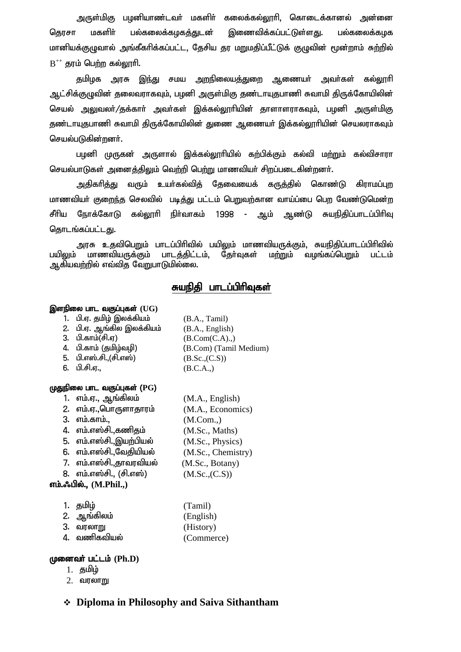அருள்மிகு பழனியாண்டவர் மகளிர் கலைக்கல்லூரி, கொடைக்கானல் அன்னை தெரசா மகளிர் பல்கலைக்கழகத்துடன் இணைவிக்கப்பட்டுள்ளது. பல்கலைக்கழக மானியக்குழுவால் அங்கீகரிக்கப்பட்ட, தேசிய தர மறுமதிப்பீட்டுக் குழுவின் மூன்றாம் சுற்றில்  $\mathrm{B}^{++}$  தரம் பெற்ற கல்லூரி.

தமிழக அரசு இந்து சமய அறநிலையத்துறை ஆணையா் அவா்கள் கல்லூாி ஆட்சிக்குழுவின் தலைவராகவும், பழனி அருள்மிகு தண்டாயுதபாணி சுவாமி திருக்கோயிலின் செயல் அலுவலர்/தக்கார் அவர்கள் இக்கல்லூரியின் தாளாளராகவும், பழனி அருள்மிகு தண்டாயுதபாணி சுவாமி திருக்கோயிலின் துணை ஆணையர் இக்கல்லூரியின் செயலராகவும் செயல்படுகின்றனர்.

பழனி முருகன் அருளால் இக்கல்லூரியில் கற்பிக்கும் கல்வி மற்றும் கல்விசாரா செயல்பாடுகள் அனைத்திலும் வெற்றி பெற்று மாணவியர் சிறப்படைகின்றனர்.

அதிகாித்து வரும் உயா்கல்வித் தேவையைக் கருத்தில் கொண்டு கிராமப்புற மாணவியா் குறைந்த செலவில் படித்து பட்டம் பெறுவற்கான வாய்ப்பை பெற வேண்டுமென்ற சீரிய நோக்கோடு கல்லூரி நிர்வாகம் 1998 - ஆம் ஆண்டு சுயநிதிப்பாடப்பிரிவு தொடங்கப்பட்டது.

அரசு உதவிபெறும் பாடப்பிரிவில் பயிலும் மாணவியருக்கும், சுயநிதிப்பாடப்பிரிவில் பயிலும் மாணவியருக்கும் பாடத்திட்டம், தோ்வுகள் மற்றும் வழங்கப்பெறும் பட்டம் ஆகியவற்றில் எவ்வித வேறுபாடுமில்லை.

### சுயநிதி பாடப்பிரிவுகள்

#### இளநிலை பாட வகுப்புகள் (UG)

- 1. பி.ஏ. தமிழ் இலக்கியம்  $(B.A., Tamil)$
- 2. பி.ஏ. ஆங்கில இலக்கியம் $(BA., English)$
- 
- 
- 5. பி.எஸ்.சி.,(சி.எஸ்)  $(B.Sc.,(C.S))$
- 

#### (ழதுநிலை பாட வகுப்புகள் (PG)

- 1. எம்.ஏ., ஆங்கிலம்  $(M.A., English)$
- 2. எம்.ஏ.,பொருளாதாரம்  $(M.A., Economics)$
- 3. எம்.காம்., (M.Com.,)
- 4. எம்.எஸ்சி.,கணிதம்  $(M.Sc., Maths)$
- 5. எம்.எஸ்சி.,இயற்பியல் $(M.Sc., Physics)$
- 6. எம்.எஸ்சி.,வேதியியல்  $(M.Sc., Chemistry)$
- 7. எம்.எஸ்சி.,தாவரவியல் $(M.Sc., Botany)$
- 8. எம்.எஸ்சி., (சி.எஸ்)  $(M.Sc.,(C.S))$

#### எம்.ஃபில்., (M.Phil.,)

| 1. தமிழ்          | (Tamil)    |
|-------------------|------------|
| 2. ஆங்கிலம்       | (English)  |
| 3. வரலா <u>று</u> | (History)  |
| 4. வணிகவியல்      | (Commerce) |

#### (**முனைவா் பட்டம்** (Ph.D)

- 1. தமிழ்
- $2.$  வரலாறு
- **Diploma in Philosophy and Saiva Sithantham**

3. பி.காம் $(\overline{f},\overline{g})$  (B.Com(C.A).,) 4. பி.காம் (தமிழ்வழி) (B.Com) (Tamil Medium) 6. பி.சி.ஏ.,  $(B.C.A.,)$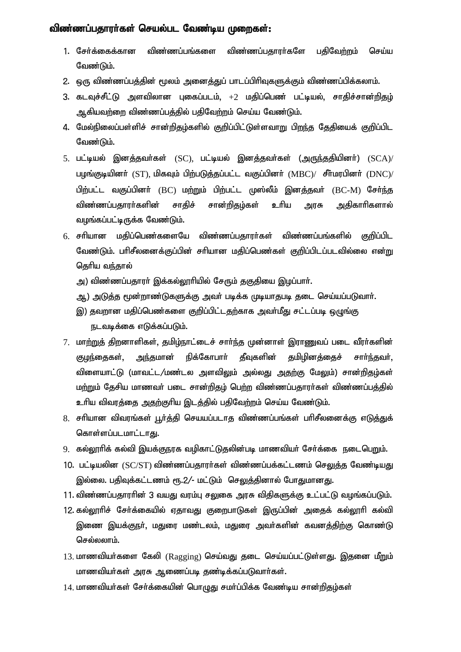#### விண்ணப்பதாரா்கள் செயல்பட வேண்டிய முறைகள்:

- 1. சேர்க்கைக்கான விண்ணப்பங்களை விண்ணப்பதாரர்களே பதிவேற்றம் செய்ய வேண்டும்.
- 2. ஒரு விண்ணப்பத்தின் மூலம் அனைத்துப் பாடப்பிரிவுகளுக்கும் விண்ணப்பிக்கலாம்.
- 3. கடவுச்சீட்டு அளவிலான புகைப்படம்,  $+2$  மதிப்பெண் பட்டியல், சாதிச்சான்றிதழ் ஆகியவற்றை விண்ணப்பத்தில் பதிவேற்றம் செய்ய வேண்டும்.
- 4. மேல்நிலைப்பள்ளிச் சான்றிதழ்களில் குறிப்பிட்டுள்ளவாறு பிறந்த தேதியைக் குறிப்பிட வேண்டும்.
- 5. பட்டியல் இனத்தவா்கள் (SC), பட்டியல் இனத்தவா்கள் (அருந்ததியினா்)  $(SCA)/$ பழங்குடியினர்  $(ST)$ , மிகவும் பிற்படுத்தப்பட்ட வகுப்பினர்  $(MBC) /$  சீர்மரபினர்  $(DNC) /$ பிற்பட்ட வகுப்பினா் (BC) மற்றும் பிற்பட்ட முஸ்லீம் இனத்தவா் (BC-M) சோ்ந்த விண்ணப்பதாரா்களின் சாதிச் சான்றிதழ்கள் உாிய அரசு அதிகாாிகளால் வழங்கப்பட்டிருக்க வேண்டும்.
- $6.$  சரியான மதிப்பெண்களையே விண்ணப்பதாரா்கள் விண்ணப்பங்களில் குறிப்பிட வேண்டும். பரிசீலனைக்குப்பின் சரியான மதிப்பெண்கள் குறிப்பிடப்படவில்லை என்று தெரிய வந்தால்
	- அ) விண்ணப்பதாரா் இக்கல்லூாியில் சேரும் தகுதியை இழப்பாா்.
	- ஆ) அடுத்த மூன்றாண்டுகளுக்கு அவா் படிக்க முடியாதபடி தடை செய்யப்படுவாா்.
	- இ) தவறான மதிப்பெண்களை குறிப்பிட்டதற்காக அவா்மீது சட்டப்படி ஒழுங்கு நடவடிக்கை எடுக்கப்படும்.
- 7. மாற்றுத் திறனாளிகள், தமிழ்நாட்டைச் சார்ந்த முன்னாள் இராணுவப் படை வீரர்களின் குழந்தைகள், அந்தமான் நிக்கோபாா் தீவுகளின் தமிழினத்தைச் சாா்ந்தவா், விளையாட்டு (மாவட்ட/மண்டல அளவிலும் அல்லது அதற்கு மேலும்) சான்றிதழ்கள் மற்றும் தேசிய மாணவர் படை சான்றிதழ் பெற்ற விண்ணப்பதாரர்கள் விண்ணப்பத்தில் உரிய விவரத்தை அதற்குரிய இடத்தில் பதிவேற்றம் செய்ய வேண்டும்.
- 8. சரியான விவரங்கள் பூர்த்தி செயயப்படாத விண்ணப்பங்கள் பரிசீலனைக்கு எடுத்துக் கொள்ளப்படமாட்டாது.
- 9. கல்லூரிக் கல்வி இயக்குநரக வழிகாட்டுதலின்படி மாணவியர் சேர்க்கை நடைபெறும்.
- 10. பட்டியலின  $\langle \text{SC/ST}\rangle$  விண்ணப்பதாரா்கள் விண்ணப்பக்கட்டணம் செலுத்த வேண்டியது இல்லை. பதிவுக்கட்டணம் ரூ.2/- மட்டும் செலுத்தினால் போதுமானது.
- 11. விண்ணப்பதாரரின் 3 வயது வரம்பு சலுகை அரசு விதிகளுக்கு உட்பட்டு வழங்கப்படும்.
- 12. கல்லூரிச் சோ்க்கையில் ஏதாவது குறைபாடுகள் இருப்பின் அதைக் கல்லூரி கல்வி இணை இயக்குநா், மதுரை மண்டலம், மதுரை அவா்களின் கவனத்திற்கு கொண்டு செல்லலாம்.
- 13. மாணவியர்களை கேலி  $(Ragger)$  செய்வது தடை செய்யப்பட்டுள்ளது. இதனை மீறும் மாணவியா்கள் அரசு ஆணைப்படி தண்டிக்கப்படுவாா்கள்.
- $14$ . மாணவியர்கள் சேர்க்கையின் பொழுது சமர்ப்பிக்க வேண்டிய சான்றிதழ்கள்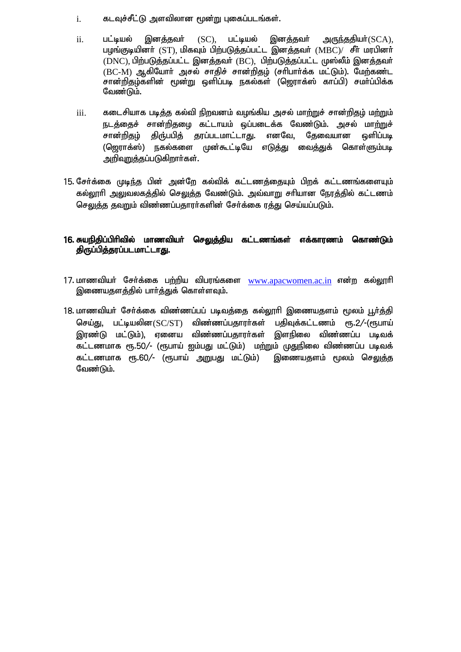- $i.$  கடவுச்சீட்டு அளவிலான மூன்று புகைப்படங்கள்.
- $ii$ . பட்டியல் இனத்தவர் (SC), பட்டியல் இனத்தவர் அருந்ததியர் $(SCA)$ , பழங்குடியினர் (ST), மிகவும் பிற்படுத்தப்பட்ட இனத்தவர் (MBC)/ சீர் மரபினர்  $(DNC)$ , பிற்படுத்தப்பட்ட இனத்தவர்  $(BC)$ , பிற்படுத்தப்பட்ட முஸ்லீம் இனத்தவர்  $(BC-M)$  ஆகியோர் அசல் சாதிச் சான்றிதம் (சரிபார்க்க மட்டும்). மேற்கண்ட சான்றிதழ்களின் மூன்று ஒளிப்படி நகல்கள் (ஜொாக்ஸ் காப்பி) சமா்ப்பிக்க வேண்டும்.
- $i$ iii. சுடைசியாக படித்த கல்வி நிறவனம் வழங்கிய அசல் மாற்றுச் சான்றிதழ் மற்றும் நடக்கைச் சான்றிகமை கட்டாயம் ஒப்படைக்க வேண்டும். அசல் மாற்றுச் சான்றிதழ் திரு்பபித் தரப்படமாட்டாது. எனவே, தேவையான ஒளிப்படி (ஜெராக்ஸ்) நகல்களை முன்கூட்டியே எடுத்து வைத்துக் கொள்ளும்படி அறிவுறுத்தப்படுகிறார்கள்.
- 15. சேர்க்கை முடிந்த பின் அன்றே கல்விக் கட்டணத்தையும் பிறக் கட்டணங்களையும் கல்லூரி அலுவலகத்தில் செலுத்த வேண்டும். அவ்வாறு சரியான நேரத்தில் கட்டணம் செலுத்த தவறும் விண்ணப்பதாரா்களின் சோ்க்கை ரத்து செய்யப்படும்.

#### 16. சுயநிதிப்பிரிவில் மாணவியர் செ<u>லுத்</u>திய கட்டணங்கள் எக்காரணம் கொண்டும் திருப்பித்தரப்படமாட்டாது.

- 17. மாணவியர் சேர்க்கை பற்றிய விபரங்களை www.apacwomen.ac.in என்ற கல்லூரி இணையதளத்தில் பார்த்துக் கொள்ளவும்.
- 18. மாணவியா் சோ்க்கை விண்ணப்பப் படிவத்தை கல்லூாி இணையதளம் மூலம் பூா்த்தி செய்து, பட்டியலின $\left(\rm{SC/ST}\right)$  விண்ணப்பதாரா்கள் பதிவுக்கட்டணம் ரூ.2/-(ரூபாய் இரண்டு மட்டும்), ஏனைய விண்ணப்பதாரர்கள் இளநிலை விண்ணப்ப படிவக் கட்டணமாக ரூ.50/- (ரூபாய் ஐம்பது மட்டும்) மற்றும் முதுநிலை விண்ணப்ப படிவக் கட்டணமாக ரூ.60/- (ரூபாய் அறுபது மட்டும்) இணையதளம் மூலம் செலுத்த வேண்டும்.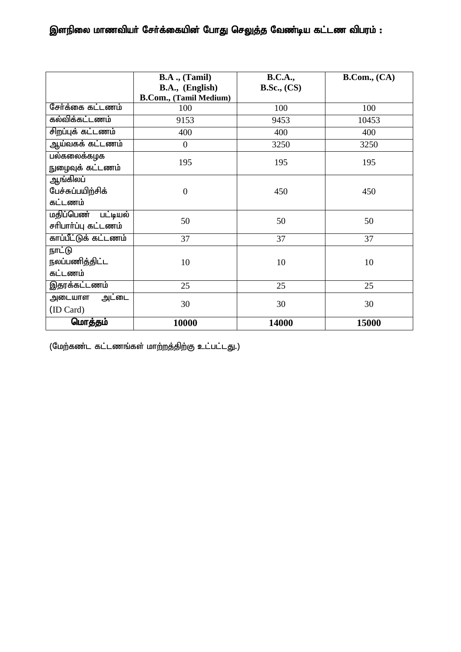### இளநிலை மாணவியர் சேர்க்கையின் போது செலுத்த வேண்டிய கட்டண விபரம் :

|                                                  | $B.A.$ , $(Tamil)$<br>B.A., (English) | <b>B.C.A.,</b><br>B.Sc., (CS) | B. Com., (CA) |
|--------------------------------------------------|---------------------------------------|-------------------------------|---------------|
|                                                  | <b>B.Com., (Tamil Medium)</b>         |                               |               |
| சேர்க்கை கட்டணம்                                 | 100                                   | 100                           | 100           |
| கல்விக்கட்டணம்                                   | 9153                                  | 9453                          | 10453         |
| சிறப்புக் கட்டணம்                                | 400                                   | 400                           | 400           |
| <u>ஆய்வகக் கட்டணம்</u>                           | $\overline{0}$                        | 3250                          | 3250          |
| பல்கலைக்கழக<br>நுழைவுக் கட்டணம்                  | 195                                   | 195                           | 195           |
| ஆங்கிலப்<br>பேச்சுப்பயிற்சிக்<br>கட்டணம்         | $\overline{0}$                        | 450                           | 450           |
| <b>மதிப்பெண் பட்டியல்</b><br>சரிபார்ப்பு கட்டணம் | 50                                    | 50                            | 50            |
| காப்பீட்டுக் கட்டணம்                             | 37                                    | 37                            | 37            |
| நாட்டு<br>நலப்பணித்திட்ட<br>கட்டணம்              | 10                                    | 10                            | 10            |
| இதரக்கட்டணம்                                     | 25                                    | 25                            | 25            |
| அட்டை<br>அடையாள<br>(ID Card)                     | 30                                    | 30                            | 30            |
| மொத்தம்                                          | 10000                                 | 14000                         | 15000         |

 $($ மேற்கண்ட கட்டணங்கள் மாற்றத்திற்கு உட்பட்டது.)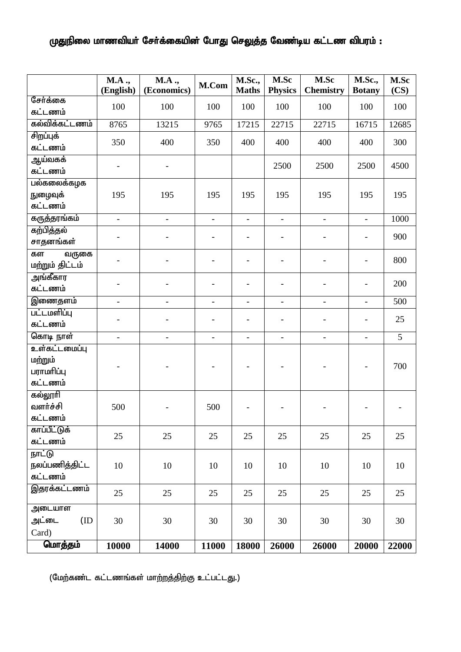### முதுநிலை மாணவியர் சேர்க்கையின் போது செலுத்த வேண்டிய கட்டண விபரம் :

|                                     | <b>M.A.,</b><br>(English) | <b>M.A.,</b><br>(Economics) | M.Com          | <b>M.Sc.,</b><br><b>Maths</b> | M.Sc<br><b>Physics</b>   | M.Sc<br><b>Chemistry</b> | <b>M.Sc.,</b><br><b>Botany</b> | M.Sc<br>(CS) |
|-------------------------------------|---------------------------|-----------------------------|----------------|-------------------------------|--------------------------|--------------------------|--------------------------------|--------------|
| சேர்க்கை                            | 100                       | 100                         | 100            | 100                           | 100                      | 100                      | 100                            | 100          |
| கட்டணம்                             |                           |                             |                |                               |                          |                          |                                |              |
| கல்விக்கட்டணம்                      | 8765                      | 13215                       | 9765           | 17215                         | 22715                    | 22715                    | 16715                          | 12685        |
| சிறப்புக்<br>கட்டணம்                | 350                       | 400                         | 350            | 400                           | 400                      | 400                      | 400                            | 300          |
| ஆய்வகக்<br>கட்டணம்                  |                           |                             |                |                               | 2500                     | 2500                     | 2500                           | 4500         |
| பல்கலைக்கழக                         |                           |                             |                |                               |                          |                          |                                |              |
| நுழைவுக்                            | 195                       | 195                         | 195            | 195                           | 195                      | 195                      | 195                            | 195          |
| கட்டணம்                             |                           |                             |                |                               |                          |                          |                                |              |
| கருத்தரங்கம்                        | $\Delta$                  | $\equiv$                    | $\blacksquare$ | $\blacksquare$                | $\blacksquare$           | $\mathbf{r}$             | $\blacksquare$                 | 1000         |
| கற்பித்தல்<br>சாதனங்கள்             |                           |                             |                | $\overline{\phantom{a}}$      | $\overline{\phantom{0}}$ |                          | $\qquad \qquad \blacksquare$   | 900          |
| கள                                  |                           |                             |                |                               |                          |                          |                                |              |
| வருகை<br>மற்றும் திட்டம்            |                           |                             |                | $\overline{\phantom{a}}$      | $\overline{\phantom{0}}$ |                          | $\overline{\phantom{a}}$       | 800          |
| அங்கீகார                            |                           |                             |                | $\overline{\phantom{a}}$      | $\overline{\phantom{0}}$ | $\overline{a}$           | $\blacksquare$                 | 200          |
| கட்டணம்                             |                           |                             |                |                               |                          |                          |                                |              |
| இணைதளம்                             | $\blacksquare$            | $\blacksquare$              | $\equiv$       | $\overline{\phantom{a}}$      | ÷,                       | $\blacksquare$           | $\overline{\phantom{a}}$       | 500          |
| பட்டமளிப்பு                         |                           |                             |                | $\qquad \qquad \blacksquare$  | $\overline{\phantom{0}}$ |                          | $\qquad \qquad \blacksquare$   | 25           |
| கட்டணம்                             |                           |                             |                |                               |                          |                          |                                |              |
| கொடி நாள்<br>உள்கட்டமைப்பு          |                           | $\overline{a}$              | ÷.             | $\qquad \qquad \blacksquare$  | $\overline{a}$           | $\blacksquare$           | $\blacksquare$                 | 5            |
| மற்றும்<br>பராமரிப்பு<br>கட்டணம்    |                           |                             |                |                               |                          |                          |                                | 700          |
| கல்லூரி                             |                           |                             |                |                               |                          |                          |                                |              |
| வளர்ச்சி                            | 500                       |                             | 500            |                               |                          |                          |                                |              |
| கட்டணம்                             |                           |                             |                |                               |                          |                          |                                |              |
| காப்பீட்டுக்<br>கட்டணம்             | 25                        | 25                          | 25             | 25                            | 25                       | 25                       | 25                             | 25           |
| நாட்டு<br>நலப்பணித்திட்ட<br>கட்டணம் | 10                        | 10                          | 10             | 10                            | 10                       | 10                       | 10                             | 10           |
| இதரக்கட்டணம்                        |                           |                             |                |                               |                          |                          |                                |              |
|                                     | 25                        | 25                          | 25             | 25                            | 25                       | 25                       | 25                             | 25           |
| அடையாள<br>அட்டை<br>(ID)<br>Card)    | 30                        | 30                          | 30             | 30                            | 30                       | 30                       | 30                             | 30           |
| மொத்தம்                             | 10000                     | 14000                       | 11000          | 18000                         | 26000                    | 26000                    | 20000                          | 22000        |

 $($ மேற்கண்ட கட்டணங்கள் மாற்றத்திற்கு உட்பட்டது.)